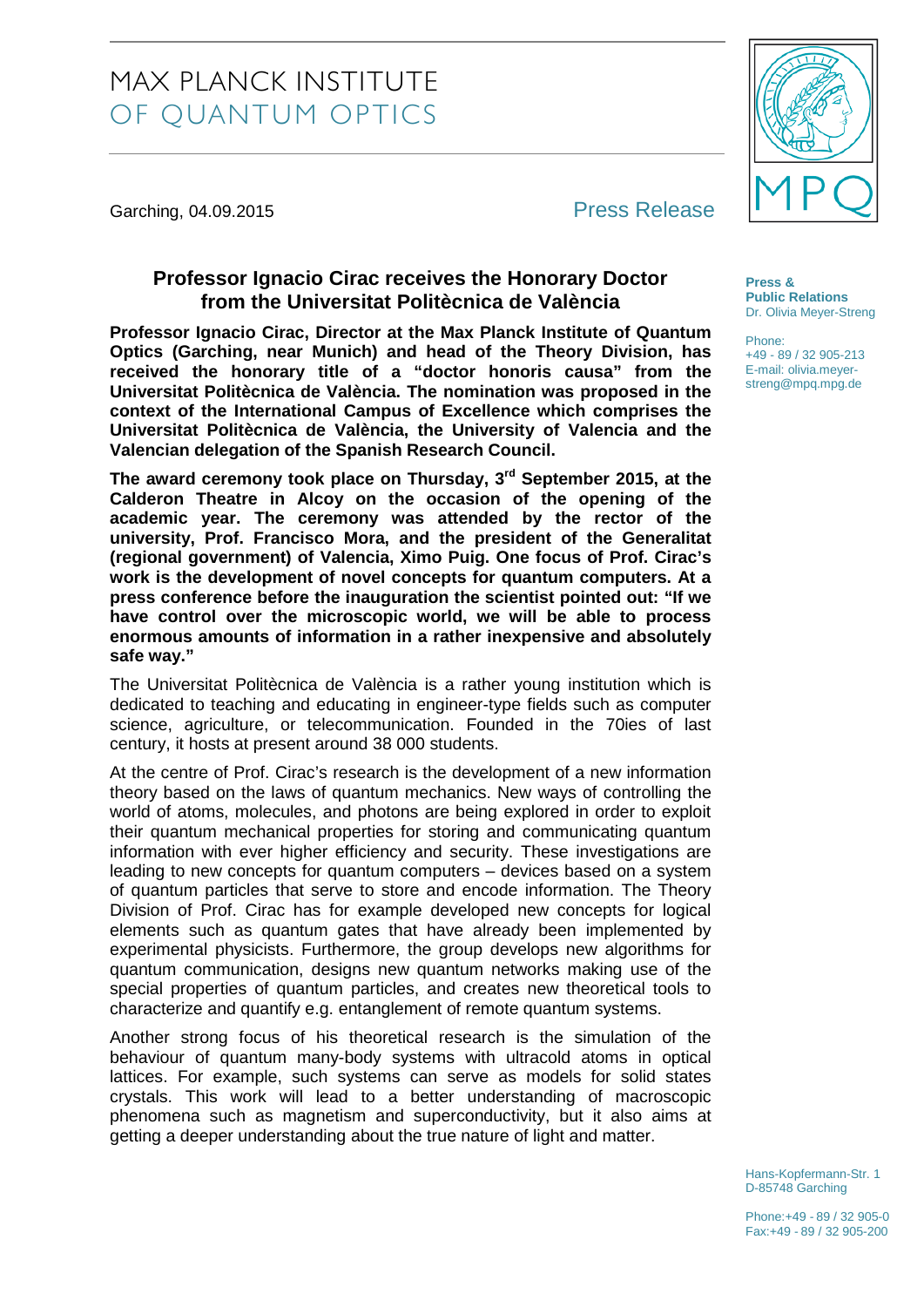## MAX PLANCK INSTITUTE OF QUANTUM OPTICS

Garching, 04.09.2015 **Press Release** 

## **Professor Ignacio Cirac receives the Honorary Doctor from the Universitat Politècnica de València**

**Professor Ignacio Cirac, Director at the Max Planck Institute of Quantum Optics (Garching, near Munich) and head of the Theory Division, has received the honorary title of a "doctor honoris causa" from the Universitat Politècnica de València. The nomination was proposed in the context of the International Campus of Excellence which comprises the Universitat Politècnica de València, the University of Valencia and the Valencian delegation of the Spanish Research Council.** 

**The award ceremony took place on Thursday, 3rd September 2015, at the Calderon Theatre in Alcoy on the occasion of the opening of the academic year. The ceremony was attended by the rector of the university, Prof. Francisco Mora, and the president of the Generalitat (regional government) of Valencia, Ximo Puig. One focus of Prof. Cirac's work is the development of novel concepts for quantum computers. At a press conference before the inauguration the scientist pointed out: "If we have control over the microscopic world, we will be able to process enormous amounts of information in a rather inexpensive and absolutely safe way."**

The Universitat Politècnica de València is a rather young institution which is dedicated to teaching and educating in engineer-type fields such as computer science, agriculture, or telecommunication. Founded in the 70ies of last century, it hosts at present around 38 000 students.

At the centre of Prof. Cirac's research is the development of a new information theory based on the laws of quantum mechanics. New ways of controlling the world of atoms, molecules, and photons are being explored in order to exploit their quantum mechanical properties for storing and communicating quantum information with ever higher efficiency and security. These investigations are leading to new concepts for quantum computers – devices based on a system of quantum particles that serve to store and encode information. The Theory Division of Prof. Cirac has for example developed new concepts for logical elements such as quantum gates that have already been implemented by experimental physicists. Furthermore, the group develops new algorithms for quantum communication, designs new quantum networks making use of the special properties of quantum particles, and creates new theoretical tools to characterize and quantify e.g. entanglement of remote quantum systems.

Another strong focus of his theoretical research is the simulation of the behaviour of quantum many-body systems with ultracold atoms in optical lattices. For example, such systems can serve as models for solid states crystals. This work will lead to a better understanding of macroscopic phenomena such as magnetism and superconductivity, but it also aims at getting a deeper understanding about the true nature of light and matter.



**Press & Public Relations** Dr. Olivia Meyer-Streng

Phone: +49 - 89 / 32 905-213 E-mail: olivia.meyer-

streng@mpq.mpg.de